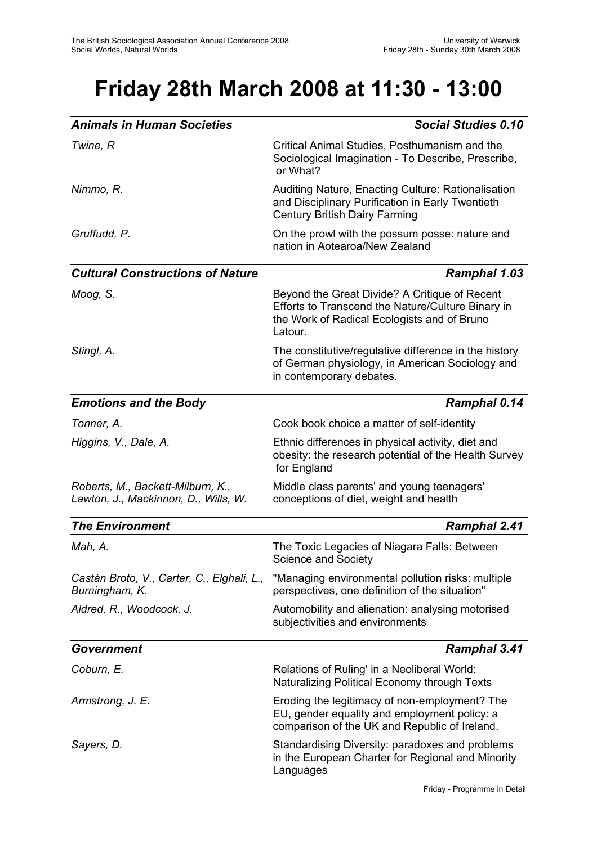# **Friday 28th March 2008 at 11:30 - 13:00**

| <b>Animals in Human Societies</b>                                         | <b>Social Studies 0.10</b>                                                                                                                                   |
|---------------------------------------------------------------------------|--------------------------------------------------------------------------------------------------------------------------------------------------------------|
| Twine, R                                                                  | Critical Animal Studies, Posthumanism and the<br>Sociological Imagination - To Describe, Prescribe,<br>or What?                                              |
| Nimmo, R.                                                                 | Auditing Nature, Enacting Culture: Rationalisation<br>and Disciplinary Purification in Early Twentieth<br><b>Century British Dairy Farming</b>               |
| Gruffudd, P.                                                              | On the prowl with the possum posse: nature and<br>nation in Aotearoa/New Zealand                                                                             |
| <b>Cultural Constructions of Nature</b>                                   | <b>Ramphal 1.03</b>                                                                                                                                          |
| Moog, S.                                                                  | Beyond the Great Divide? A Critique of Recent<br>Efforts to Transcend the Nature/Culture Binary in<br>the Work of Radical Ecologists and of Bruno<br>Latour. |
| Stingl, A.                                                                | The constitutive/regulative difference in the history<br>of German physiology, in American Sociology and<br>in contemporary debates.                         |
| <b>Emotions and the Body</b>                                              | <b>Ramphal 0.14</b>                                                                                                                                          |
| Tonner, A.                                                                | Cook book choice a matter of self-identity                                                                                                                   |
| Higgins, V., Dale, A.                                                     | Ethnic differences in physical activity, diet and<br>obesity: the research potential of the Health Survey<br>for England                                     |
| Roberts, M., Backett-Milburn, K.,<br>Lawton, J., Mackinnon, D., Wills, W. | Middle class parents' and young teenagers'<br>conceptions of diet, weight and health                                                                         |
| <b>The Environment</b>                                                    | <b>Ramphal 2.41</b>                                                                                                                                          |
| Mah, A.                                                                   | The Toxic Legacies of Niagara Falls: Between<br><b>Science and Society</b>                                                                                   |
| Castán Broto, V., Carter, C., Elghali, L.,<br>Burningham, K.              | "Managing environmental pollution risks: multiple<br>perspectives, one definition of the situation"                                                          |
| Aldred, R., Woodcock, J.                                                  | Automobility and alienation: analysing motorised<br>subjectivities and environments                                                                          |
| <b>Government</b>                                                         | <b>Ramphal 3.41</b>                                                                                                                                          |
| Coburn, E.                                                                | Relations of Ruling' in a Neoliberal World:<br>Naturalizing Political Economy through Texts                                                                  |
| Armstrong, J. E.                                                          | Eroding the legitimacy of non-employment? The<br>EU, gender equality and employment policy: a<br>comparison of the UK and Republic of Ireland.               |
| Sayers, D.                                                                | Standardising Diversity: paradoxes and problems<br>in the European Charter for Regional and Minority<br>Languages                                            |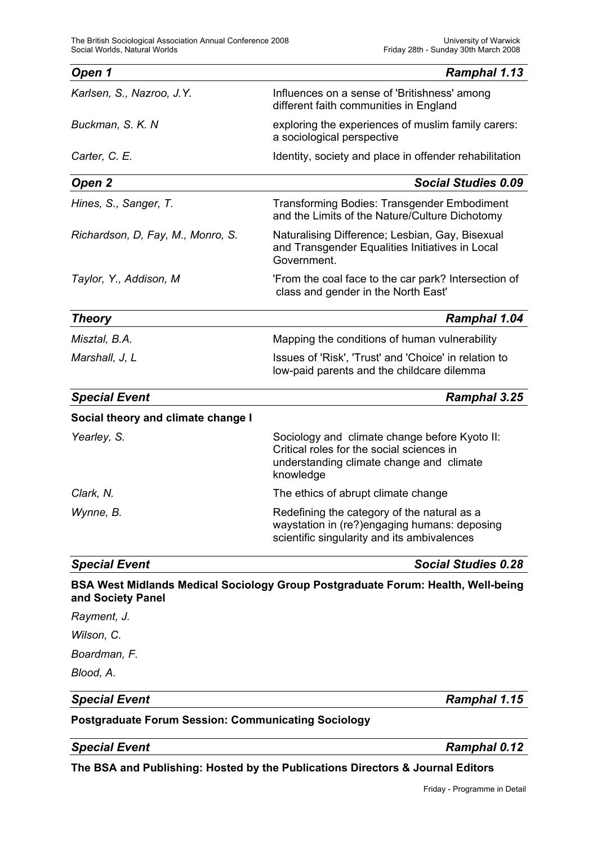| Open 1                                                     | <b>Ramphal 1.13</b>                                                                                                                                 |
|------------------------------------------------------------|-----------------------------------------------------------------------------------------------------------------------------------------------------|
| Karlsen, S., Nazroo, J.Y.                                  | Influences on a sense of 'Britishness' among<br>different faith communities in England                                                              |
| Buckman, S. K. N.                                          | exploring the experiences of muslim family carers:<br>a sociological perspective                                                                    |
| Carter, C. E.                                              | Identity, society and place in offender rehabilitation                                                                                              |
| Open 2                                                     | <b>Social Studies 0.09</b>                                                                                                                          |
| Hines, S., Sanger, T.                                      | <b>Transforming Bodies: Transgender Embodiment</b><br>and the Limits of the Nature/Culture Dichotomy                                                |
| Richardson, D, Fay, M., Monro, S.                          | Naturalising Difference; Lesbian, Gay, Bisexual<br>and Transgender Equalities Initiatives in Local<br>Government.                                   |
| Taylor, Y., Addison, M                                     | 'From the coal face to the car park? Intersection of<br>class and gender in the North East'                                                         |
| <b>Theory</b>                                              | <b>Ramphal 1.04</b>                                                                                                                                 |
| Misztal, B.A.                                              | Mapping the conditions of human vulnerability                                                                                                       |
| Marshall, J, L                                             | Issues of 'Risk', 'Trust' and 'Choice' in relation to<br>low-paid parents and the childcare dilemma                                                 |
| <b>Special Event</b>                                       | Ramphal 3.25                                                                                                                                        |
| Social theory and climate change I                         |                                                                                                                                                     |
| Yearley, S.                                                | Sociology and climate change before Kyoto II:<br>Critical roles for the social sciences in<br>understanding climate change and climate<br>knowledge |
| Clark, N.                                                  | The ethics of abrupt climate change                                                                                                                 |
| Wynne, B.                                                  | Redefining the category of the natural as a<br>waystation in (re?)engaging humans: deposing<br>scientific singularity and its ambivalences          |
| <b>Special Event</b>                                       | <b>Social Studies 0.28</b>                                                                                                                          |
| and Society Panel                                          | BSA West Midlands Medical Sociology Group Postgraduate Forum: Health, Well-being                                                                    |
| Rayment, J.                                                |                                                                                                                                                     |
| Wilson, C.                                                 |                                                                                                                                                     |
| Boardman, F.                                               |                                                                                                                                                     |
| Blood, A.                                                  |                                                                                                                                                     |
| <b>Special Event</b>                                       | Ramphal 1.15                                                                                                                                        |
| <b>Postgraduate Forum Session: Communicating Sociology</b> |                                                                                                                                                     |
| <b>Special Event</b>                                       | <b>Ramphal 0.12</b>                                                                                                                                 |

**The BSA and Publishing: Hosted by the Publications Directors & Journal Editors**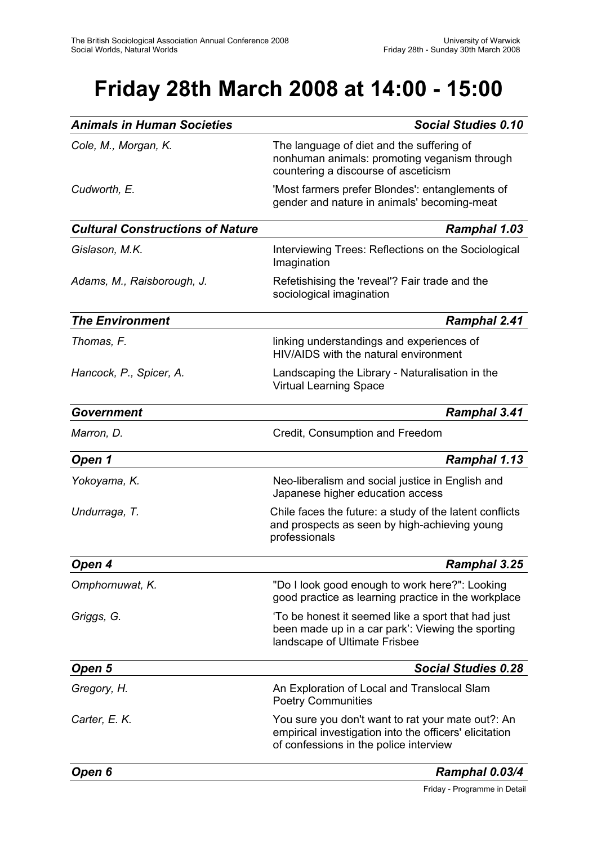# **Friday 28th March 2008 at 14:00 - 15:00**

| <b>Animals in Human Societies</b>       | <b>Social Studies 0.10</b>                                                                                                                            |
|-----------------------------------------|-------------------------------------------------------------------------------------------------------------------------------------------------------|
| Cole, M., Morgan, K.                    | The language of diet and the suffering of<br>nonhuman animals: promoting veganism through<br>countering a discourse of asceticism                     |
| Cudworth, E.                            | 'Most farmers prefer Blondes': entanglements of<br>gender and nature in animals' becoming-meat                                                        |
| <b>Cultural Constructions of Nature</b> | <b>Ramphal 1.03</b>                                                                                                                                   |
| Gislason, M.K.                          | Interviewing Trees: Reflections on the Sociological<br>Imagination                                                                                    |
| Adams, M., Raisborough, J.              | Refetishising the 'reveal'? Fair trade and the<br>sociological imagination                                                                            |
| <b>The Environment</b>                  | <b>Ramphal 2.41</b>                                                                                                                                   |
| Thomas, F.                              | linking understandings and experiences of<br>HIV/AIDS with the natural environment                                                                    |
| Hancock, P., Spicer, A.                 | Landscaping the Library - Naturalisation in the<br><b>Virtual Learning Space</b>                                                                      |
| Government                              | <b>Ramphal 3.41</b>                                                                                                                                   |
| Marron, D.                              | Credit, Consumption and Freedom                                                                                                                       |
| Open 1                                  | Ramphal 1.13                                                                                                                                          |
| Yokoyama, K.                            | Neo-liberalism and social justice in English and<br>Japanese higher education access                                                                  |
| Undurraga, T.                           | Chile faces the future: a study of the latent conflicts<br>and prospects as seen by high-achieving young<br>professionals                             |
| Open 4                                  | Ramphal 3.25                                                                                                                                          |
| Omphornuwat, K.                         | "Do I look good enough to work here?": Looking<br>good practice as learning practice in the workplace                                                 |
| Griggs, G.                              | 'To be honest it seemed like a sport that had just<br>been made up in a car park': Viewing the sporting<br>landscape of Ultimate Frisbee              |
| Open 5                                  | <b>Social Studies 0.28</b>                                                                                                                            |
| Gregory, H.                             | An Exploration of Local and Translocal Slam<br><b>Poetry Communities</b>                                                                              |
| Carter, E. K.                           | You sure you don't want to rat your mate out?: An<br>empirical investigation into the officers' elicitation<br>of confessions in the police interview |
| Open 6                                  | Ramphal 0.03/4                                                                                                                                        |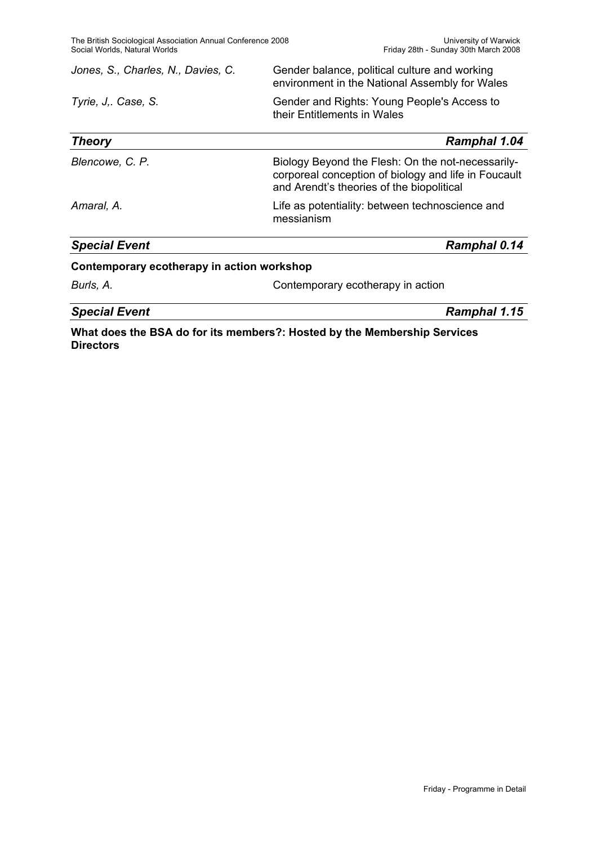| Jones, S., Charles, N., Davies, C. | Gender balance, political culture and working<br>environment in the National Assembly for Wales           |  |
|------------------------------------|-----------------------------------------------------------------------------------------------------------|--|
| Tyrie, J Case, S.                  | Gender and Rights: Young People's Access to<br>their Entitlements in Wales                                |  |
| Theory                             | <b>Ramphal 1.04</b>                                                                                       |  |
| Blencowe, C. P.                    | Biology Beyond the Flesh: On the not-necessarily-<br>corporeal conception of biology and life in Foucault |  |

messianism

*Amaral, A.* Life as potentiality: between technoscience and

*Special Event Ramphal 0.14*

### **Contemporary ecotherapy in action workshop**

**Burls, A.** Contemporary ecotherapy in action

and Arendt's theories of the biopolitical

*Special Event Ramphal 1.15*

**What does the BSA do for its members?: Hosted by the Membership Services Directors**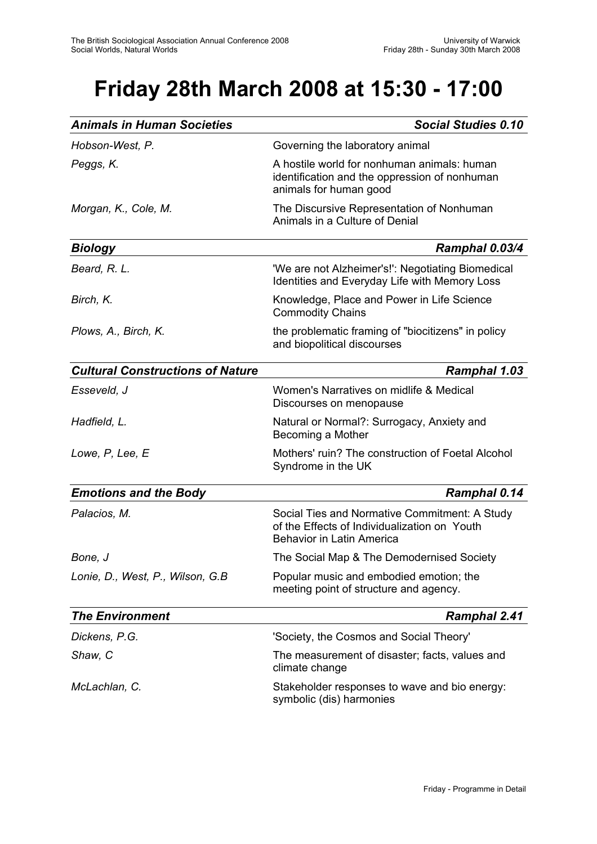# **Friday 28th March 2008 at 15:30 - 17:00**

| <b>Animals in Human Societies</b>       | <b>Social Studies 0.10</b>                                                                                                        |
|-----------------------------------------|-----------------------------------------------------------------------------------------------------------------------------------|
| Hobson-West, P.                         | Governing the laboratory animal                                                                                                   |
| Peggs, K.                               | A hostile world for nonhuman animals: human<br>identification and the oppression of nonhuman<br>animals for human good            |
| Morgan, K., Cole, M.                    | The Discursive Representation of Nonhuman<br>Animals in a Culture of Denial                                                       |
| <b>Biology</b>                          | Ramphal 0.03/4                                                                                                                    |
| Beard, R. L.                            | 'We are not Alzheimer's!': Negotiating Biomedical<br>Identities and Everyday Life with Memory Loss                                |
| Birch, K.                               | Knowledge, Place and Power in Life Science<br><b>Commodity Chains</b>                                                             |
| Plows, A., Birch, K.                    | the problematic framing of "biocitizens" in policy<br>and biopolitical discourses                                                 |
| <b>Cultural Constructions of Nature</b> | <b>Ramphal 1.03</b>                                                                                                               |
| Esseveld, J                             | Women's Narratives on midlife & Medical<br>Discourses on menopause                                                                |
| Hadfield, L.                            | Natural or Normal?: Surrogacy, Anxiety and<br>Becoming a Mother                                                                   |
| Lowe, P, Lee, E                         | Mothers' ruin? The construction of Foetal Alcohol<br>Syndrome in the UK                                                           |
| <b>Emotions and the Body</b>            | <b>Ramphal 0.14</b>                                                                                                               |
| Palacios, M.                            | Social Ties and Normative Commitment: A Study<br>of the Effects of Individualization on Youth<br><b>Behavior in Latin America</b> |
| Bone, J                                 | The Social Map & The Demodernised Society                                                                                         |
| Lonie, D., West, P., Wilson, G.B.       | Popular music and embodied emotion; the<br>meeting point of structure and agency.                                                 |
| <b>The Environment</b>                  | <b>Ramphal 2.41</b>                                                                                                               |
| Dickens, P.G.                           | 'Society, the Cosmos and Social Theory'                                                                                           |
| Shaw, C                                 | The measurement of disaster; facts, values and<br>climate change                                                                  |
| McLachlan, C.                           | Stakeholder responses to wave and bio energy:<br>symbolic (dis) harmonies                                                         |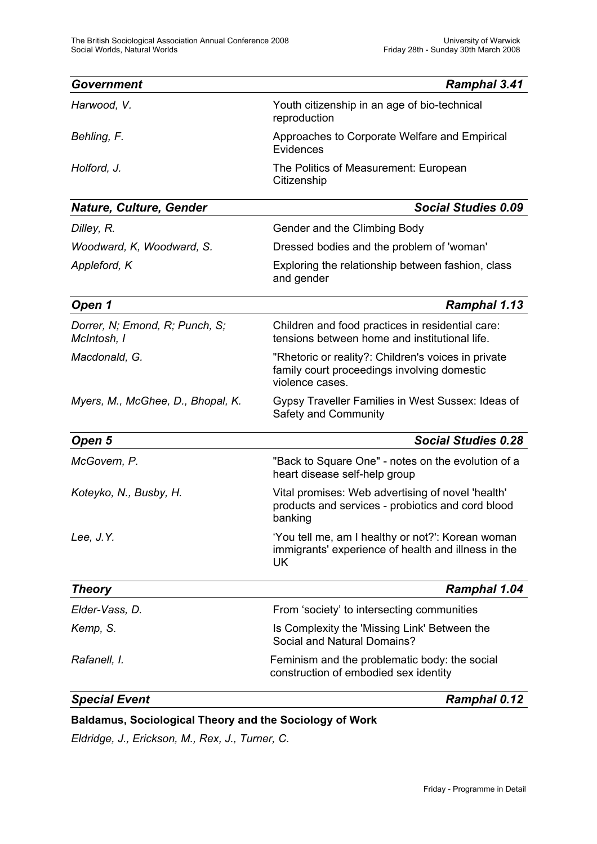| Government                                    | <b>Ramphal 3.41</b>                                                                                                   |
|-----------------------------------------------|-----------------------------------------------------------------------------------------------------------------------|
| Harwood, V.                                   | Youth citizenship in an age of bio-technical<br>reproduction                                                          |
| Behling, F.                                   | Approaches to Corporate Welfare and Empirical<br>Evidences                                                            |
| Holford, J.                                   | The Politics of Measurement: European<br>Citizenship                                                                  |
| <b>Nature, Culture, Gender</b>                | <b>Social Studies 0.09</b>                                                                                            |
| Dilley, R.                                    | Gender and the Climbing Body                                                                                          |
| Woodward, K, Woodward, S.                     | Dressed bodies and the problem of 'woman'                                                                             |
| Appleford, K                                  | Exploring the relationship between fashion, class<br>and gender                                                       |
| Open 1                                        | Ramphal 1.13                                                                                                          |
| Dorrer, N; Emond, R; Punch, S;<br>McIntosh, I | Children and food practices in residential care:<br>tensions between home and institutional life.                     |
| Macdonald, G.                                 | "Rhetoric or reality?: Children's voices in private<br>family court proceedings involving domestic<br>violence cases. |
| Myers, M., McGhee, D., Bhopal, K.             | Gypsy Traveller Families in West Sussex: Ideas of<br>Safety and Community                                             |
| Open 5                                        | <b>Social Studies 0.28</b>                                                                                            |
| McGovern, P.                                  | "Back to Square One" - notes on the evolution of a<br>heart disease self-help group                                   |
| Koteyko, N., Busby, H.                        | Vital promises: Web advertising of novel 'health'<br>products and services - probiotics and cord blood<br>banking     |
| Lee, J.Y.                                     | 'You tell me, am I healthy or not?': Korean woman<br>immigrants' experience of health and illness in the<br>UK        |
| <b>Theory</b>                                 | <b>Ramphal 1.04</b>                                                                                                   |
| Elder-Vass, D.                                | From 'society' to intersecting communities                                                                            |
| Kemp, S.                                      | Is Complexity the 'Missing Link' Between the<br>Social and Natural Domains?                                           |
| Rafanell, I.                                  | Feminism and the problematic body: the social<br>construction of embodied sex identity                                |
| <b>Special Event</b>                          | <b>Ramphal 0.12</b>                                                                                                   |

### **Baldamus, Sociological Theory and the Sociology of Work**

*Eldridge, J., Erickson, M., Rex, J., Turner, C.*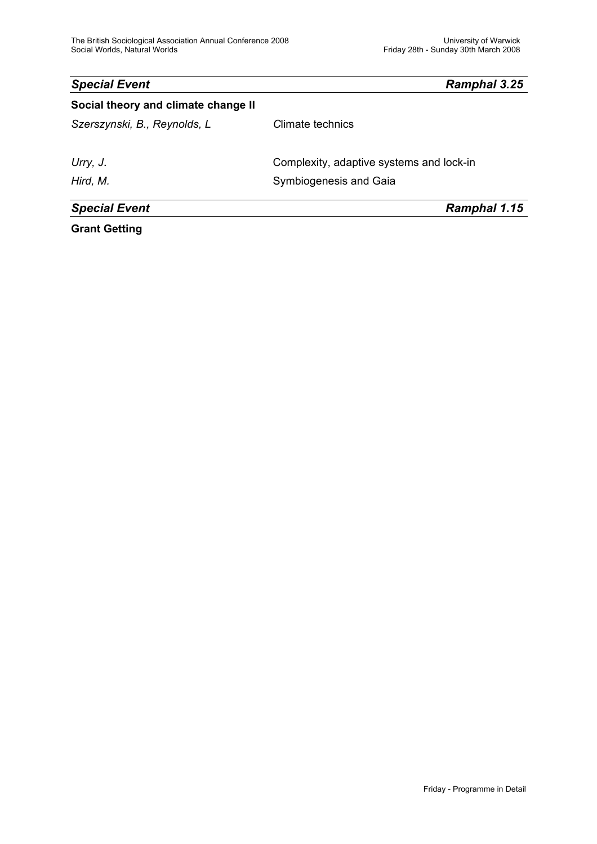| <b>Special Event</b>                | Ramphal 3.25                             |
|-------------------------------------|------------------------------------------|
| Social theory and climate change II |                                          |
| Szerszynski, B., Reynolds, L.       | Climate technics                         |
| Urry, J.                            | Complexity, adaptive systems and lock-in |
| Hird, M.                            | Symbiogenesis and Gaia                   |
| <b>Special Event</b>                | Ramphal 1.15                             |
|                                     |                                          |

**Grant Getting**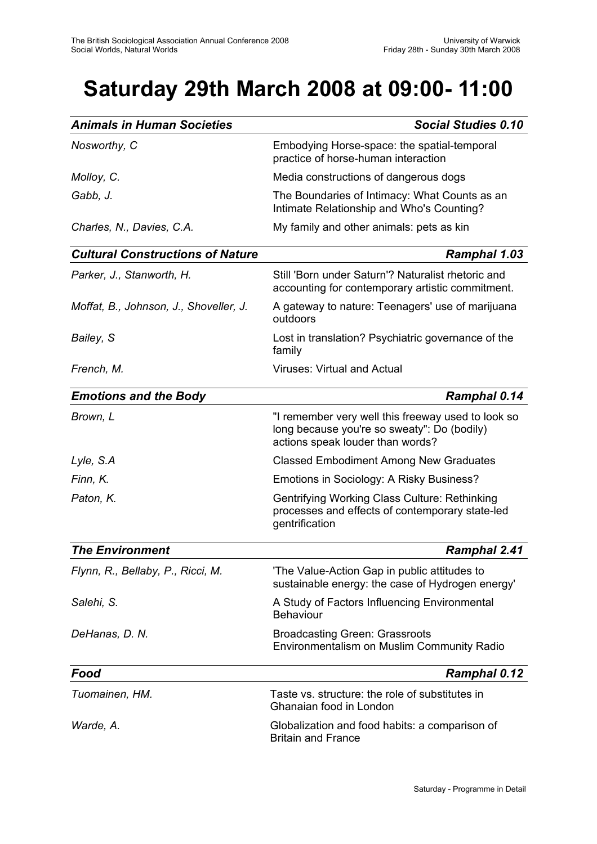# **Saturday 29th March 2008 at 09:00- 11:00**

| <b>Animals in Human Societies</b>       | <b>Social Studies 0.10</b>                                                                                                            |
|-----------------------------------------|---------------------------------------------------------------------------------------------------------------------------------------|
| Nosworthy, C                            | Embodying Horse-space: the spatial-temporal<br>practice of horse-human interaction                                                    |
| Molloy, C.                              | Media constructions of dangerous dogs                                                                                                 |
| Gabb, J.                                | The Boundaries of Intimacy: What Counts as an<br>Intimate Relationship and Who's Counting?                                            |
| Charles, N., Davies, C.A.               | My family and other animals: pets as kin                                                                                              |
| <b>Cultural Constructions of Nature</b> | <b>Ramphal 1.03</b>                                                                                                                   |
| Parker, J., Stanworth, H.               | Still 'Born under Saturn'? Naturalist rhetoric and<br>accounting for contemporary artistic commitment.                                |
| Moffat, B., Johnson, J., Shoveller, J.  | A gateway to nature: Teenagers' use of marijuana<br>outdoors                                                                          |
| Bailey, S                               | Lost in translation? Psychiatric governance of the<br>family                                                                          |
| French, M.                              | <b>Viruses: Virtual and Actual</b>                                                                                                    |
| <b>Emotions and the Body</b>            | Ramphal 0.14                                                                                                                          |
| Brown, L                                | "I remember very well this freeway used to look so<br>long because you're so sweaty": Do (bodily)<br>actions speak louder than words? |
| Lyle, S.A                               | <b>Classed Embodiment Among New Graduates</b>                                                                                         |
| Finn, K.                                | Emotions in Sociology: A Risky Business?                                                                                              |
| Paton, K.                               | Gentrifying Working Class Culture: Rethinking<br>processes and effects of contemporary state-led<br>gentrification                    |
| <b>The Environment</b>                  | <b>Ramphal 2.41</b>                                                                                                                   |
| Flynn, R., Bellaby, P., Ricci, M.       | 'The Value-Action Gap in public attitudes to<br>sustainable energy: the case of Hydrogen energy'                                      |
| Salehi, S.                              | A Study of Factors Influencing Environmental<br><b>Behaviour</b>                                                                      |
| DeHanas, D. N.                          | <b>Broadcasting Green: Grassroots</b><br>Environmentalism on Muslim Community Radio                                                   |
| Food                                    | <b>Ramphal 0.12</b>                                                                                                                   |
| Tuomainen, HM.                          | Taste vs. structure: the role of substitutes in<br>Ghanaian food in London                                                            |
| Warde, A.                               | Globalization and food habits: a comparison of<br><b>Britain and France</b>                                                           |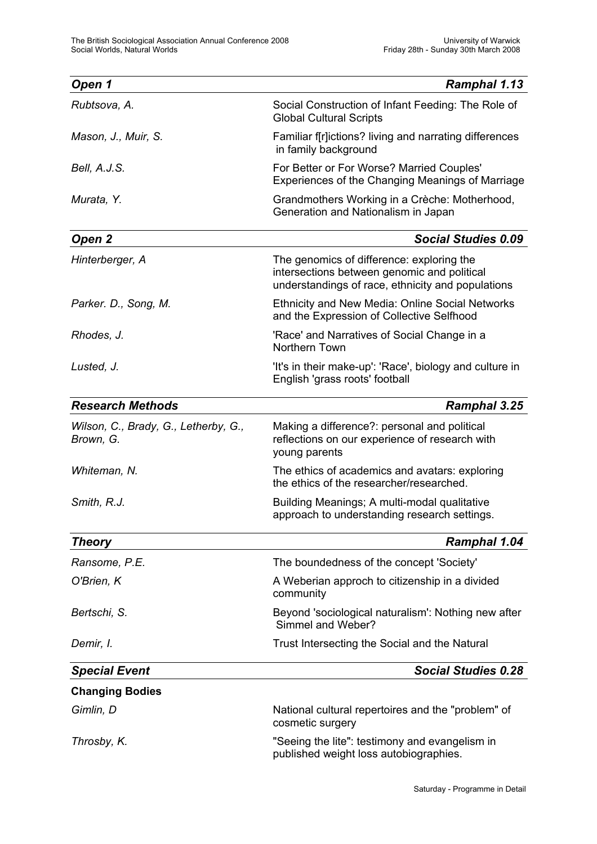| Open 1                                            | <b>Ramphal 1.13</b>                                                                                                                           |
|---------------------------------------------------|-----------------------------------------------------------------------------------------------------------------------------------------------|
| Rubtsova, A.                                      | Social Construction of Infant Feeding: The Role of<br><b>Global Cultural Scripts</b>                                                          |
| Mason, J., Muir, S.                               | Familiar f[r]ictions? living and narrating differences<br>in family background                                                                |
| Bell, A.J.S.                                      | For Better or For Worse? Married Couples'<br>Experiences of the Changing Meanings of Marriage                                                 |
| Murata, Y.                                        | Grandmothers Working in a Crèche: Motherhood,<br>Generation and Nationalism in Japan                                                          |
| Open 2                                            | <b>Social Studies 0.09</b>                                                                                                                    |
| Hinterberger, A                                   | The genomics of difference: exploring the<br>intersections between genomic and political<br>understandings of race, ethnicity and populations |
| Parker. D., Song, M.                              | <b>Ethnicity and New Media: Online Social Networks</b><br>and the Expression of Collective Selfhood                                           |
| Rhodes, J.                                        | 'Race' and Narratives of Social Change in a<br>Northern Town                                                                                  |
| Lusted, J.                                        | 'It's in their make-up': 'Race', biology and culture in<br>English 'grass roots' football                                                     |
| <b>Research Methods</b>                           | <b>Ramphal 3.25</b>                                                                                                                           |
| Wilson, C., Brady, G., Letherby, G.,<br>Brown, G. | Making a difference?: personal and political<br>reflections on our experience of research with<br>young parents                               |
| Whiteman, N.                                      | The ethics of academics and avatars: exploring<br>the ethics of the researcher/researched.                                                    |
| Smith, R.J.                                       | Building Meanings; A multi-modal qualitative<br>approach to understanding research settings.                                                  |
| <b>Theory</b>                                     | <b>Ramphal 1.04</b>                                                                                                                           |
| Ransome, P.E.                                     | The boundedness of the concept 'Society'                                                                                                      |
| O'Brien, K                                        | A Weberian approch to citizenship in a divided<br>community                                                                                   |
| Bertschi, S.                                      | Beyond 'sociological naturalism': Nothing new after<br>Simmel and Weber?                                                                      |
| Demir, I.                                         | Trust Intersecting the Social and the Natural                                                                                                 |
| <b>Special Event</b>                              | <b>Social Studies 0.28</b>                                                                                                                    |
| <b>Changing Bodies</b>                            |                                                                                                                                               |
| Gimlin, D                                         | National cultural repertoires and the "problem" of<br>cosmetic surgery                                                                        |
| Throsby, K.                                       | "Seeing the lite": testimony and evangelism in<br>published weight loss autobiographies.                                                      |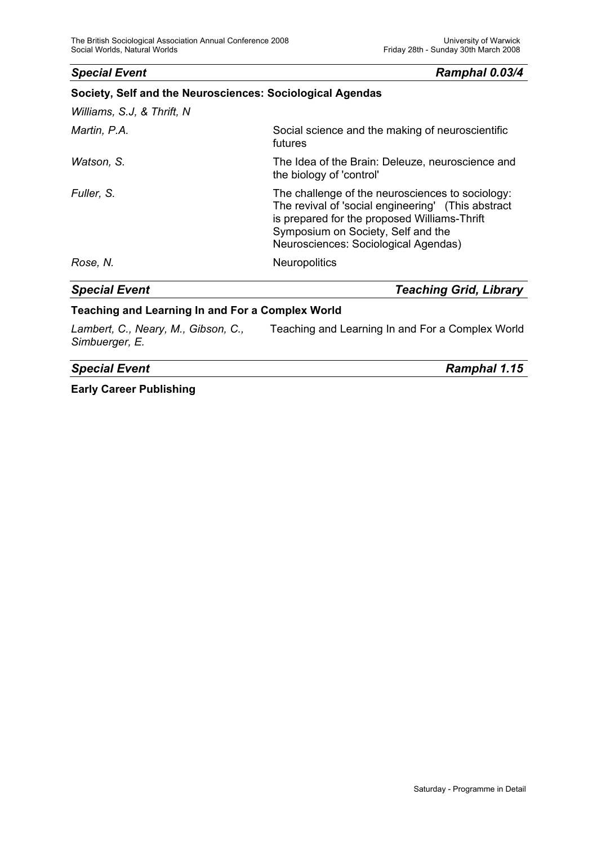**Society, Self and the Neurosciences: Sociological Agendas** 

### *Special Event Ramphal 0.03/4*

| <b>Special Event</b>       | <b>Teaching Grid, Library</b>                                                                                                                                                                                                        |
|----------------------------|--------------------------------------------------------------------------------------------------------------------------------------------------------------------------------------------------------------------------------------|
| Rose, N.                   | Neuropolitics                                                                                                                                                                                                                        |
| Fuller, S.                 | The challenge of the neurosciences to sociology:<br>The revival of 'social engineering' (This abstract<br>is prepared for the proposed Williams-Thrift<br>Symposium on Society, Self and the<br>Neurosciences: Sociological Agendas) |
| Watson, S.                 | The Idea of the Brain: Deleuze, neuroscience and<br>the biology of 'control'                                                                                                                                                         |
| Martin, P.A.               | Social science and the making of neuroscientific<br>futures                                                                                                                                                                          |
| Williams, S.J, & Thrift, N |                                                                                                                                                                                                                                      |

### **Teaching and Learning In and For a Complex World**

*Lambert, C., Neary, M., Gibson, C.,* Teaching and Learning In and For a Complex World *Simbuerger, E.* 

### *Special Event Ramphal 1.15*

**Early Career Publishing**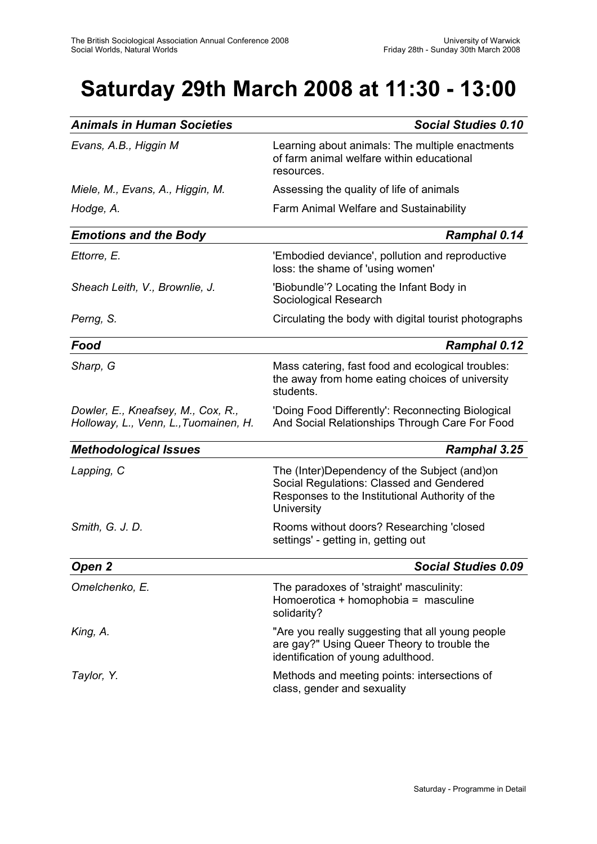# **Saturday 29th March 2008 at 11:30 - 13:00**

| <b>Animals in Human Societies</b>                                           | <b>Social Studies 0.10</b>                                                                                                                                |
|-----------------------------------------------------------------------------|-----------------------------------------------------------------------------------------------------------------------------------------------------------|
| Evans, A.B., Higgin M                                                       | Learning about animals: The multiple enactments<br>of farm animal welfare within educational<br>resources.                                                |
| Miele, M., Evans, A., Higgin, M.                                            | Assessing the quality of life of animals                                                                                                                  |
| Hodge, A.                                                                   | Farm Animal Welfare and Sustainability                                                                                                                    |
| <b>Emotions and the Body</b>                                                | Ramphal 0.14                                                                                                                                              |
| Ettorre, E.                                                                 | 'Embodied deviance', pollution and reproductive<br>loss: the shame of 'using women'                                                                       |
| Sheach Leith, V., Brownlie, J.                                              | 'Biobundle'? Locating the Infant Body in<br>Sociological Research                                                                                         |
| Perng, S.                                                                   | Circulating the body with digital tourist photographs                                                                                                     |
| Food                                                                        | <b>Ramphal 0.12</b>                                                                                                                                       |
| Sharp, G                                                                    | Mass catering, fast food and ecological troubles:<br>the away from home eating choices of university<br>students.                                         |
| Dowler, E., Kneafsey, M., Cox, R.,<br>Holloway, L., Venn, L., Tuomainen, H. | 'Doing Food Differently': Reconnecting Biological<br>And Social Relationships Through Care For Food                                                       |
| <b>Methodological Issues</b>                                                | Ramphal 3.25                                                                                                                                              |
| Lapping, C                                                                  | The (Inter)Dependency of the Subject (and)on<br>Social Regulations: Classed and Gendered<br>Responses to the Institutional Authority of the<br>University |
| Smith, G. J. D.                                                             | Rooms without doors? Researching 'closed<br>settings' - getting in, getting out                                                                           |
| Open 2                                                                      | <b>Social Studies 0.09</b>                                                                                                                                |
| Omelchenko, E.                                                              | The paradoxes of 'straight' masculinity:<br>Homoerotica + homophobia = masculine<br>solidarity?                                                           |
| King, A.                                                                    | "Are you really suggesting that all young people<br>are gay?" Using Queer Theory to trouble the<br>identification of young adulthood.                     |
| Taylor, Y.                                                                  | Methods and meeting points: intersections of<br>class, gender and sexuality                                                                               |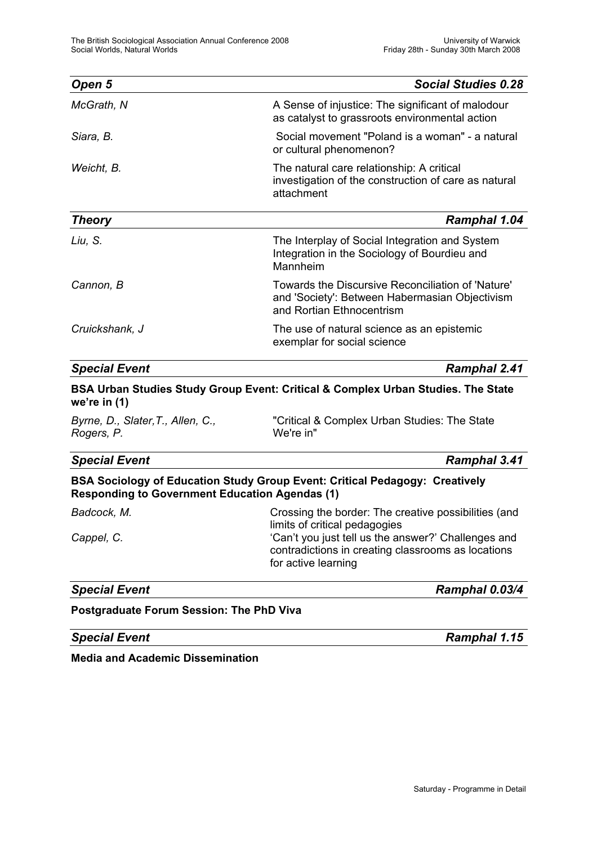| Open 5               | <b>Social Studies 0.28</b>                                                                                                       |
|----------------------|----------------------------------------------------------------------------------------------------------------------------------|
| McGrath, N           | A Sense of injustice: The significant of malodour<br>as catalyst to grassroots environmental action                              |
| Siara, B.            | Social movement "Poland is a woman" - a natural<br>or cultural phenomenon?                                                       |
| Weicht, B.           | The natural care relationship: A critical<br>investigation of the construction of care as natural<br>attachment                  |
| <b>Theory</b>        | Ramphal 1.04                                                                                                                     |
| Liu, S.              | The Interplay of Social Integration and System<br>Integration in the Sociology of Bourdieu and<br>Mannheim                       |
| Cannon, B            | Towards the Discursive Reconciliation of 'Nature'<br>and 'Society': Between Habermasian Objectivism<br>and Rortian Ethnocentrism |
| Cruickshank, J       | The use of natural science as an epistemic<br>exemplar for social science                                                        |
| <b>Special Event</b> | Ramphal 2.41                                                                                                                     |

### **BSA Urban Studies Study Group Event: Critical & Complex Urban Studies. The State we're in (1)**

*Rogers, P.* We're in"

*Byrne, D., Slater,T., Allen, C.,* "Critical & Complex Urban Studies: The State

#### *Special Event Ramphal 3.41*

### **BSA Sociology of Education Study Group Event: Critical Pedagogy: Creatively Responding to Government Education Agendas (1)**

| Badcock, M. | Crossing the border: The creative possibilities (and                                                                             |
|-------------|----------------------------------------------------------------------------------------------------------------------------------|
|             | limits of critical pedagogies                                                                                                    |
| Cappel, C.  | 'Can't you just tell us the answer?' Challenges and<br>contradictions in creating classrooms as locations<br>for active learning |

*Special Event Ramphal 0.03/4*

#### **Postgraduate Forum Session: The PhD Viva**

*Special Event Ramphal 1.15*

**Media and Academic Dissemination**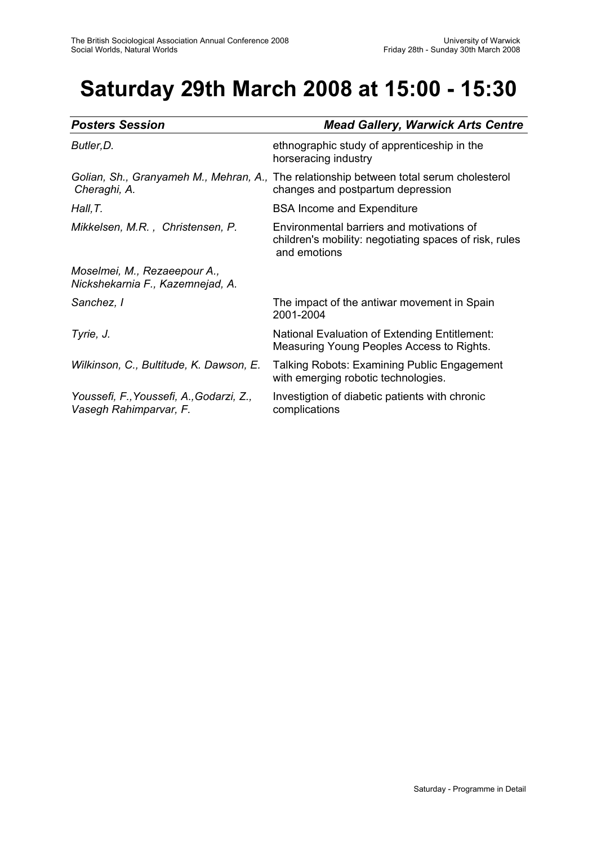# **Saturday 29th March 2008 at 15:00 - 15:30**

| <b>Posters Session</b>                                             | <b>Mead Gallery, Warwick Arts Centre</b>                                                                                     |
|--------------------------------------------------------------------|------------------------------------------------------------------------------------------------------------------------------|
| Butler, D.                                                         | ethnographic study of apprenticeship in the<br>horseracing industry                                                          |
| Cheraghi, A.                                                       | Golian, Sh., Granyameh M., Mehran, A., The relationship between total serum cholesterol<br>changes and postpartum depression |
| Hall, T.                                                           | <b>BSA Income and Expenditure</b>                                                                                            |
| Mikkelsen, M.R., Christensen, P.                                   | Environmental barriers and motivations of<br>children's mobility: negotiating spaces of risk, rules<br>and emotions          |
| Moselmei, M., Rezaeepour A.,<br>Nickshekarnia F., Kazemnejad, A.   |                                                                                                                              |
| Sanchez, I                                                         | The impact of the antiwar movement in Spain<br>2001-2004                                                                     |
| Tyrie, J.                                                          | National Evaluation of Extending Entitlement:<br>Measuring Young Peoples Access to Rights.                                   |
| Wilkinson, C., Bultitude, K. Dawson, E.                            | Talking Robots: Examining Public Engagement<br>with emerging robotic technologies.                                           |
| Youssefi, F., Youssefi, A., Godarzi, Z.,<br>Vasegh Rahimparvar, F. | Investigtion of diabetic patients with chronic<br>complications                                                              |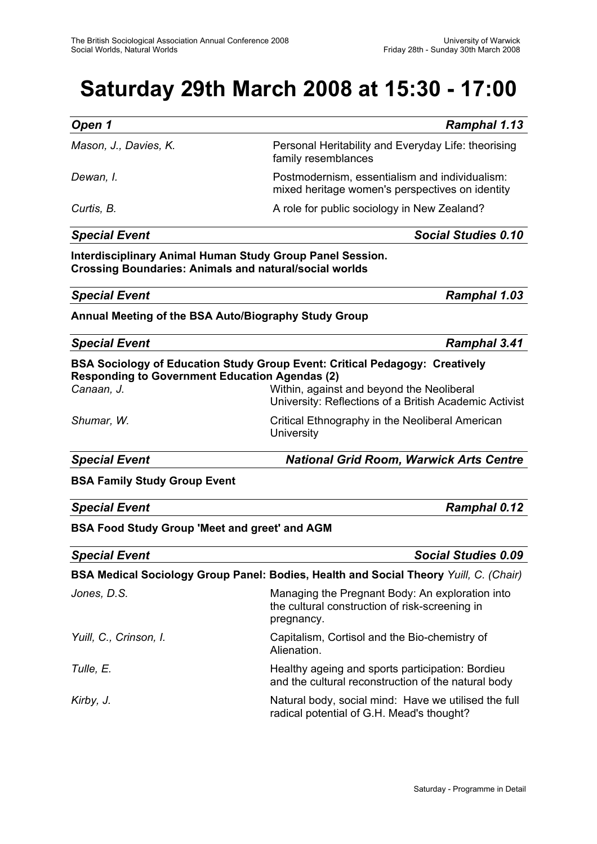# **Saturday 29th March 2008 at 15:30 - 17:00**

| Open 1                | <b>Ramphal 1.13</b>                                                                               |
|-----------------------|---------------------------------------------------------------------------------------------------|
| Mason, J., Davies, K. | Personal Heritability and Everyday Life: theorising<br>family resemblances                        |
| Dewan, I.             | Postmodernism, essentialism and individualism:<br>mixed heritage women's perspectives on identity |
| Curtis, B.            | A role for public sociology in New Zealand?                                                       |

#### *Special Event Social Studies 0.10*

**Interdisciplinary Animal Human Study Group Panel Session. Crossing Boundaries: Animals and natural/social worlds** 

*Special Event Ramphal 1.03*

**Annual Meeting of the BSA Auto/Biography Study Group**

| <b>Special Event</b>                                  | Ramphal 3.41                                                                                        |
|-------------------------------------------------------|-----------------------------------------------------------------------------------------------------|
| <b>Responding to Government Education Agendas (2)</b> | <b>BSA Sociology of Education Study Group Event: Critical Pedagogy: Creatively</b>                  |
| Canaan, J.                                            | Within, against and beyond the Neoliberal<br>University: Reflections of a British Academic Activist |
| Shumar, W.                                            | Critical Ethnography in the Neoliberal American<br>University                                       |
| <b>Special Event</b>                                  | <b>National Grid Room, Warwick Arts Centre</b>                                                      |
| <b>BSA Family Study Group Event</b>                   |                                                                                                     |

*Special Event Ramphal 0.12*

**BSA Food Study Group 'Meet and greet' and AGM**

| <b>Special Event</b>   | <b>Social Studies 0.09</b>                                                                                      |
|------------------------|-----------------------------------------------------------------------------------------------------------------|
|                        | <b>BSA Medical Sociology Group Panel: Bodies, Health and Social Theory Yuill, C. (Chair)</b>                    |
| Jones, D.S.            | Managing the Pregnant Body: An exploration into<br>the cultural construction of risk-screening in<br>pregnancy. |
| Yuill, C., Crinson, I. | Capitalism, Cortisol and the Bio-chemistry of<br>Alienation.                                                    |
| Tulle, E.              | Healthy ageing and sports participation: Bordieu<br>and the cultural reconstruction of the natural body         |
| Kirby, J.              | Natural body, social mind: Have we utilised the full<br>radical potential of G.H. Mead's thought?               |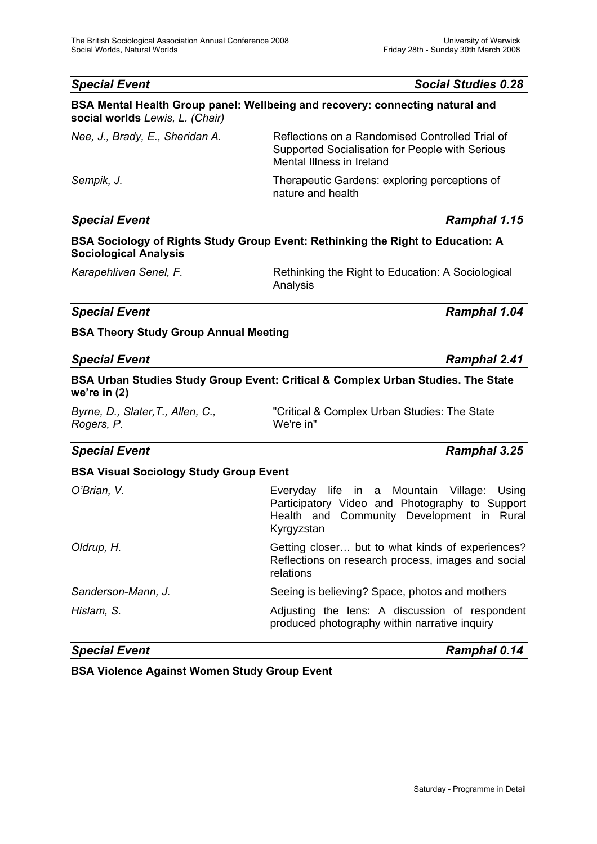| <b>Special Event</b>                            | <b>Social Studies 0.28</b>                                                                                                      |
|-------------------------------------------------|---------------------------------------------------------------------------------------------------------------------------------|
| social worlds Lewis, L. (Chair)                 | BSA Mental Health Group panel: Wellbeing and recovery: connecting natural and                                                   |
| Nee, J., Brady, E., Sheridan A.                 | Reflections on a Randomised Controlled Trial of<br>Supported Socialisation for People with Serious<br>Mental Illness in Ireland |
| Sempik, J.                                      | Therapeutic Gardens: exploring perceptions of<br>nature and health                                                              |
| <b>Special Event</b>                            | Ramphal 1.15                                                                                                                    |
| <b>Sociological Analysis</b>                    | BSA Sociology of Rights Study Group Event: Rethinking the Right to Education: A                                                 |
| Karapehlivan Senel, F.                          | Rethinking the Right to Education: A Sociological<br>Analysis                                                                   |
| <b>Special Event</b>                            | <b>Ramphal 1.04</b>                                                                                                             |
| <b>BSA Theory Study Group Annual Meeting</b>    |                                                                                                                                 |
| <b>Special Event</b>                            | <b>Ramphal 2.41</b>                                                                                                             |
| we're in $(2)$                                  | BSA Urban Studies Study Group Event: Critical & Complex Urban Studies. The State                                                |
| Byrne, D., Slater, T., Allen, C.,<br>Rogers, P. | "Critical & Complex Urban Studies: The State<br>We're in"                                                                       |
| <b>Special Event</b>                            | Ramphal 3.25                                                                                                                    |

### **BSA Visual Sociology Study Group Event**

| <b>Special Event</b> | Ramphal 0.14                                                                                                                                            |
|----------------------|---------------------------------------------------------------------------------------------------------------------------------------------------------|
| Hislam, S.           | Adjusting the lens: A discussion of respondent<br>produced photography within narrative inquiry                                                         |
| Sanderson-Mann, J.   | Seeing is believing? Space, photos and mothers                                                                                                          |
| Oldrup, H.           | Getting closer but to what kinds of experiences?<br>Reflections on research process, images and social<br>relations                                     |
| O'Brian, V.          | Everyday life in a Mountain Village: Using<br>Participatory Video and Photography to Support<br>Health and Community Development in Rural<br>Kyrgyzstan |
|                      |                                                                                                                                                         |

### **BSA Violence Against Women Study Group Event**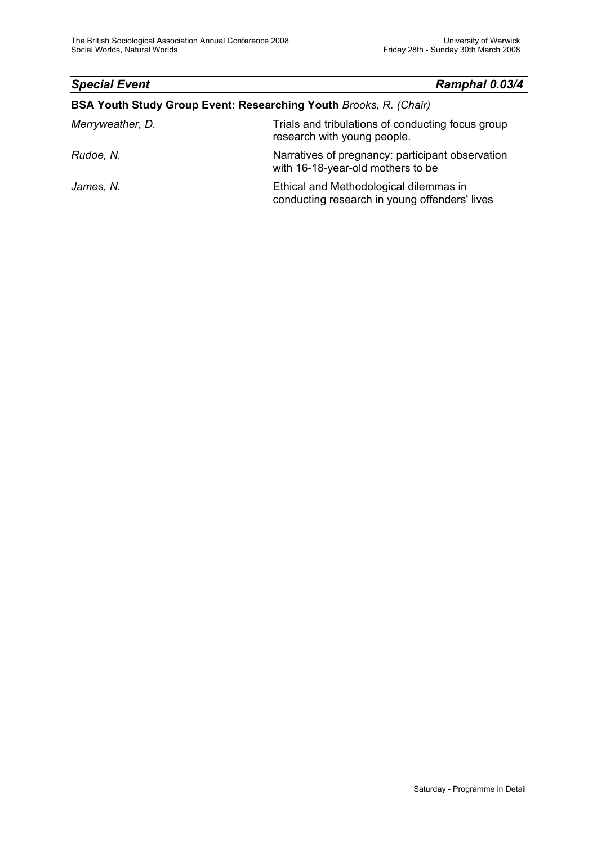### *Special Event Ramphal 0.03/4*

### **BSA Youth Study Group Event: Researching Youth** *Brooks, R. (Chair)*

| Merryweather, D. | Trials and tribulations of conducting focus group<br>research with young people.        |
|------------------|-----------------------------------------------------------------------------------------|
| Rudoe, N.        | Narratives of pregnancy: participant observation<br>with 16-18-year-old mothers to be   |
| James, N.        | Ethical and Methodological dilemmas in<br>conducting research in young offenders' lives |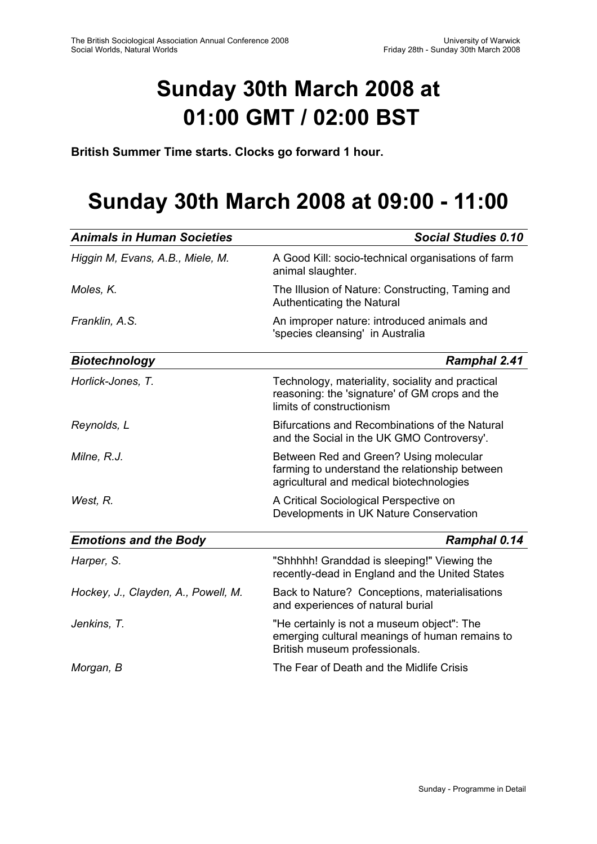# **Sunday 30th March 2008 at 01:00 GMT / 02:00 BST**

**British Summer Time starts. Clocks go forward 1 hour.** 

## **Sunday 30th March 2008 at 09:00 - 11:00**

| <b>Animals in Human Societies</b>   | <b>Social Studies 0.10</b>                                                                                                           |
|-------------------------------------|--------------------------------------------------------------------------------------------------------------------------------------|
| Higgin M, Evans, A.B., Miele, M.    | A Good Kill: socio-technical organisations of farm<br>animal slaughter.                                                              |
| Moles, K.                           | The Illusion of Nature: Constructing, Taming and<br>Authenticating the Natural                                                       |
| Franklin, A.S.                      | An improper nature: introduced animals and<br>'species cleansing' in Australia                                                       |
| <b>Biotechnology</b>                | <b>Ramphal 2.41</b>                                                                                                                  |
| Horlick-Jones, T.                   | Technology, materiality, sociality and practical<br>reasoning: the 'signature' of GM crops and the<br>limits of constructionism      |
| Reynolds, L                         | Bifurcations and Recombinations of the Natural<br>and the Social in the UK GMO Controversy'.                                         |
| Milne, R.J.                         | Between Red and Green? Using molecular<br>farming to understand the relationship between<br>agricultural and medical biotechnologies |
| West, R.                            | A Critical Sociological Perspective on<br>Developments in UK Nature Conservation                                                     |
| <b>Emotions and the Body</b>        | Ramphal 0.14                                                                                                                         |
| Harper, S.                          | "Shhhhh! Granddad is sleeping!" Viewing the<br>recently-dead in England and the United States                                        |
| Hockey, J., Clayden, A., Powell, M. | Back to Nature? Conceptions, materialisations<br>and experiences of natural burial                                                   |
| Jenkins, T.                         | "He certainly is not a museum object": The<br>emerging cultural meanings of human remains to<br>British museum professionals.        |
| Morgan, B                           | The Fear of Death and the Midlife Crisis                                                                                             |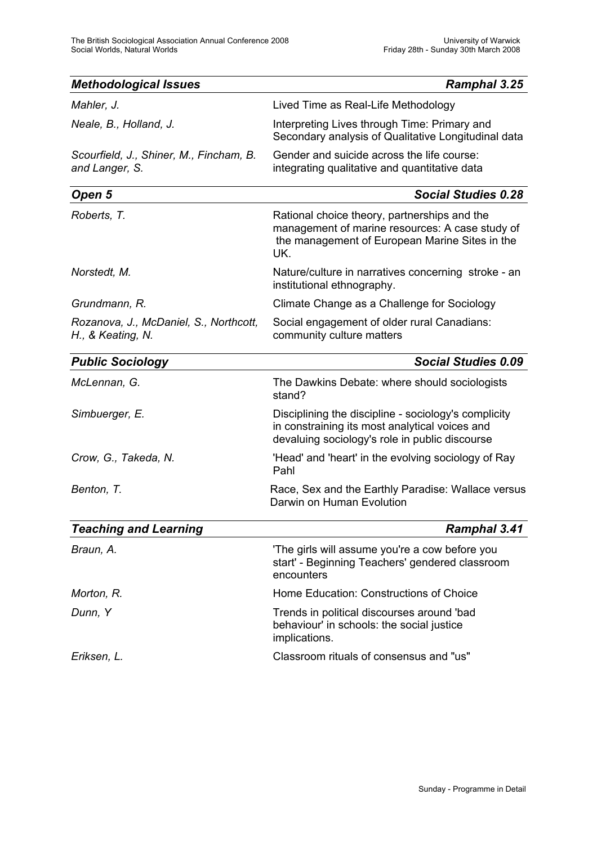| <b>Methodological Issues</b>                                | Ramphal 3.25                                                                                                                                             |
|-------------------------------------------------------------|----------------------------------------------------------------------------------------------------------------------------------------------------------|
| Mahler, J.                                                  | Lived Time as Real-Life Methodology                                                                                                                      |
| Neale, B., Holland, J.                                      | Interpreting Lives through Time: Primary and<br>Secondary analysis of Qualitative Longitudinal data                                                      |
| Scourfield, J., Shiner, M., Fincham, B.<br>and Langer, S.   | Gender and suicide across the life course:<br>integrating qualitative and quantitative data                                                              |
| Open 5                                                      | <b>Social Studies 0.28</b>                                                                                                                               |
| Roberts, T.                                                 | Rational choice theory, partnerships and the<br>management of marine resources: A case study of<br>the management of European Marine Sites in the<br>UK. |
| Norstedt, M.                                                | Nature/culture in narratives concerning stroke - an<br>institutional ethnography.                                                                        |
| Grundmann, R.                                               | Climate Change as a Challenge for Sociology                                                                                                              |
| Rozanova, J., McDaniel, S., Northcott,<br>H., & Keating, N. | Social engagement of older rural Canadians:<br>community culture matters                                                                                 |
| <b>Public Sociology</b>                                     | <b>Social Studies 0.09</b>                                                                                                                               |
| McLennan, G.                                                | The Dawkins Debate: where should sociologists<br>stand?                                                                                                  |
| Simbuerger, E.                                              | Disciplining the discipline - sociology's complicity<br>in constraining its most analytical voices and<br>devaluing sociology's role in public discourse |
| Crow, G., Takeda, N.                                        | 'Head' and 'heart' in the evolving sociology of Ray<br>Pahl                                                                                              |
| Benton, T.                                                  | Race, Sex and the Earthly Paradise: Wallace versus<br>Darwin on Human Evolution                                                                          |
| <b>Teaching and Learning</b>                                | Ramphal 3.41                                                                                                                                             |
| Braun, A.                                                   | 'The girls will assume you're a cow before you<br>start' - Beginning Teachers' gendered classroom<br>encounters                                          |
| Morton, R.                                                  | Home Education: Constructions of Choice                                                                                                                  |
| Dunn, Y                                                     | Trends in political discourses around 'bad<br>behaviour' in schools: the social justice<br>implications.                                                 |
| Eriksen, L.                                                 | Classroom rituals of consensus and "us"                                                                                                                  |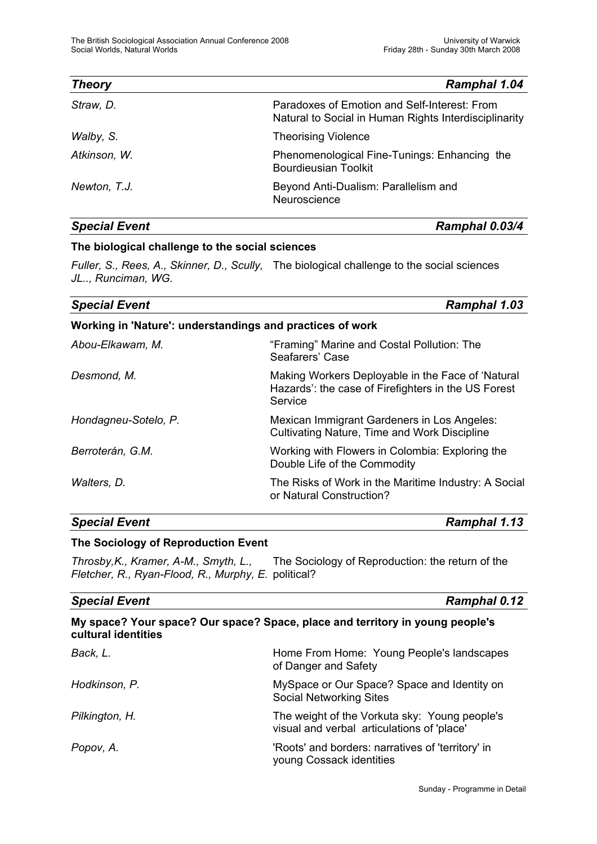| <b>Theory</b> | Ramphal 1.04                                                                                          |
|---------------|-------------------------------------------------------------------------------------------------------|
| Straw, D.     | Paradoxes of Emotion and Self-Interest: From<br>Natural to Social in Human Rights Interdisciplinarity |
| Walby, S.     | <b>Theorising Violence</b>                                                                            |
| Atkinson, W.  | Phenomenological Fine-Tunings: Enhancing the<br><b>Bourdieusian Toolkit</b>                           |
| Newton, T.J.  | Beyond Anti-Dualism: Parallelism and<br>Neuroscience                                                  |

*Special Event Ramphal 0.03/4*

## **The biological challenge to the social sciences**

*Fuller, S., Rees, A., Skinner, D., Scully,* The biological challenge to the social sciences *JL.., Runciman, WG.*

| <b>Special Event</b>                                      | <b>Ramphal 1.03</b>                                                                                                 |  |
|-----------------------------------------------------------|---------------------------------------------------------------------------------------------------------------------|--|
| Working in 'Nature': understandings and practices of work |                                                                                                                     |  |
| Abou-Elkawam, M.                                          | "Framing" Marine and Costal Pollution: The<br>Seafarers' Case                                                       |  |
| Desmond, M.                                               | Making Workers Deployable in the Face of 'Natural<br>Hazards': the case of Firefighters in the US Forest<br>Service |  |
| Hondagneu-Sotelo, P.                                      | Mexican Immigrant Gardeners in Los Angeles:<br>Cultivating Nature, Time and Work Discipline                         |  |
| Berroterán, G.M.                                          | Working with Flowers in Colombia: Exploring the<br>Double Life of the Commodity                                     |  |
| Walters, D.                                               | The Risks of Work in the Maritime Industry: A Social<br>or Natural Construction?                                    |  |

### *Special Event Ramphal 1.13*

#### **The Sociology of Reproduction Event**

*Throsby,K., Kramer, A-M., Smyth, L.,* The Sociology of Reproduction: the return of the *Fletcher, R., Ryan-Flood, R., Murphy, E.* political?

#### *Special Event Ramphal 0.12*

|     | My space? Your space? Our space? Space, place and territory in young people's |  |                     |  |  |  |  |  |  |  |  |  |  |
|-----|-------------------------------------------------------------------------------|--|---------------------|--|--|--|--|--|--|--|--|--|--|
|     |                                                                               |  | cultural identities |  |  |  |  |  |  |  |  |  |  |
| - - |                                                                               |  |                     |  |  |  |  |  |  |  |  |  |  |

| Back, L.       | Home From Home: Young People's landscapes<br>of Danger and Safety                           |
|----------------|---------------------------------------------------------------------------------------------|
| Hodkinson, P.  | MySpace or Our Space? Space and Identity on<br><b>Social Networking Sites</b>               |
| Pilkington, H. | The weight of the Vorkuta sky: Young people's<br>visual and verbal articulations of 'place' |
| Popov, A.      | 'Roots' and borders: narratives of 'territory' in<br>young Cossack identities               |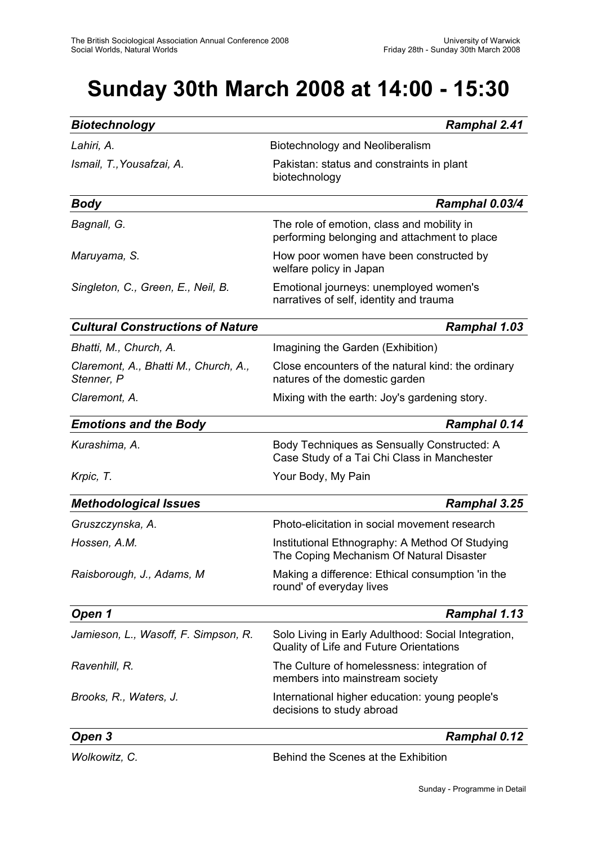# **Sunday 30th March 2008 at 14:00 - 15:30**

| <b>Biotechnology</b>                                | <b>Ramphal 2.41</b>                                                                            |
|-----------------------------------------------------|------------------------------------------------------------------------------------------------|
| Lahiri, A.                                          | Biotechnology and Neoliberalism                                                                |
| Ismail, T., Yousafzai, A.                           | Pakistan: status and constraints in plant<br>biotechnology                                     |
| <b>Body</b>                                         | Ramphal 0.03/4                                                                                 |
| Bagnall, G.                                         | The role of emotion, class and mobility in<br>performing belonging and attachment to place     |
| Maruyama, S.                                        | How poor women have been constructed by<br>welfare policy in Japan                             |
| Singleton, C., Green, E., Neil, B.                  | Emotional journeys: unemployed women's<br>narratives of self, identity and trauma              |
| <b>Cultural Constructions of Nature</b>             | <b>Ramphal 1.03</b>                                                                            |
| Bhatti, M., Church, A.                              | Imagining the Garden (Exhibition)                                                              |
| Claremont, A., Bhatti M., Church, A.,<br>Stenner, P | Close encounters of the natural kind: the ordinary<br>natures of the domestic garden           |
| Claremont, A.                                       | Mixing with the earth: Joy's gardening story.                                                  |
| <b>Emotions and the Body</b>                        | Ramphal 0.14                                                                                   |
| Kurashima, A.                                       | Body Techniques as Sensually Constructed: A<br>Case Study of a Tai Chi Class in Manchester     |
| Krpic, T.                                           | Your Body, My Pain                                                                             |
| <b>Methodological Issues</b>                        | Ramphal 3.25                                                                                   |
| Gruszczynska, A.                                    | Photo-elicitation in social movement research                                                  |
| Hossen, A.M.                                        | Institutional Ethnography: A Method Of Studying<br>The Coping Mechanism Of Natural Disaster    |
| Raisborough, J., Adams, M                           | Making a difference: Ethical consumption 'in the<br>round' of everyday lives                   |
| Open 1                                              | Ramphal 1.13                                                                                   |
| Jamieson, L., Wasoff, F. Simpson, R.                | Solo Living in Early Adulthood: Social Integration,<br>Quality of Life and Future Orientations |
| Ravenhill, R.                                       | The Culture of homelessness: integration of<br>members into mainstream society                 |
| Brooks, R., Waters, J.                              | International higher education: young people's<br>decisions to study abroad                    |
| Open 3                                              | <b>Ramphal 0.12</b>                                                                            |
| Wolkowitz, C.                                       | Behind the Scenes at the Exhibition                                                            |